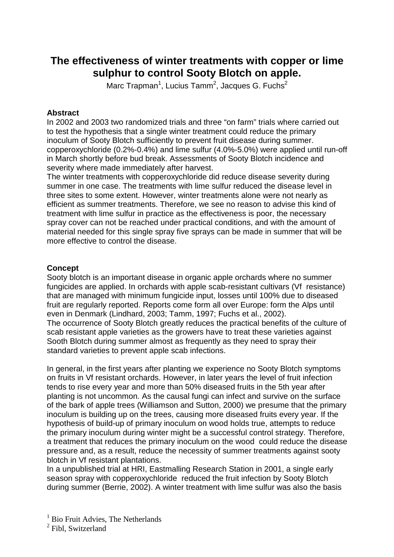# **The effectiveness of winter treatments with copper or lime sulphur to control Sooty Blotch on apple.**

Marc Trapman<sup>1</sup>, Lucius Tamm<sup>2</sup>, Jacques G. Fuchs<sup>2</sup>

### **Abstract**

In 2002 and 2003 two randomized trials and three "on farm" trials where carried out to test the hypothesis that a single winter treatment could reduce the primary inoculum of Sooty Blotch sufficiently to prevent fruit disease during summer. copperoxychloride (0.2%-0.4%) and lime sulfur (4.0%-5.0%) were applied until run-off in March shortly before bud break. Assessments of Sooty Blotch incidence and severity where made immediately after harvest.

The winter treatments with copperoxychloride did reduce disease severity during summer in one case. The treatments with lime sulfur reduced the disease level in three sites to some extent. However, winter treatments alone were not nearly as efficient as summer treatments. Therefore, we see no reason to advise this kind of treatment with lime sulfur in practice as the effectiveness is poor, the necessary spray cover can not be reached under practical conditions, and with the amount of material needed for this single spray five sprays can be made in summer that will be more effective to control the disease.

## **Concept**

Sooty blotch is an important disease in organic apple orchards where no summer fungicides are applied. In orchards with apple scab-resistant cultivars (Vf resistance) that are managed with minimum fungicide input, losses until 100% due to diseased fruit are regularly reported. Reports come form all over Europe: form the Alps until even in Denmark (Lindhard, 2003; Tamm, 1997; Fuchs et al., 2002). The occurrence of Sooty Blotch greatly reduces the practical benefits of the culture of scab resistant apple varieties as the growers have to treat these varieties against Sooth Blotch during summer almost as frequently as they need to spray their standard varieties to prevent apple scab infections.

In general, in the first years after planting we experience no Sooty Blotch symptoms on fruits in Vf resistant orchards. However, in later years the level of fruit infection tends to rise every year and more than 50% diseased fruits in the 5th year after planting is not uncommon. As the causal fungi can infect and survive on the surface of the bark of apple trees (Williamson and Sutton, 2000) we presume that the primary inoculum is building up on the trees, causing more diseased fruits every year. If the hypothesis of build-up of primary inoculum on wood holds true, attempts to reduce the primary inoculum during winter might be a successful control strategy. Therefore, a treatment that reduces the primary inoculum on the wood could reduce the disease pressure and, as a result, reduce the necessity of summer treatments against sooty blotch in Vf resistant plantations.

In a unpublished trial at HRI, Eastmalling Research Station in 2001, a single early season spray with copperoxychloride reduced the fruit infection by Sooty Blotch during summer (Berrie, 2002). A winter treatment with lime sulfur was also the basis

<sup>&</sup>lt;sup>1</sup> Bio Fruit Advies, The Netherlands

<sup>&</sup>lt;sup>2</sup> Fibl, Switzerland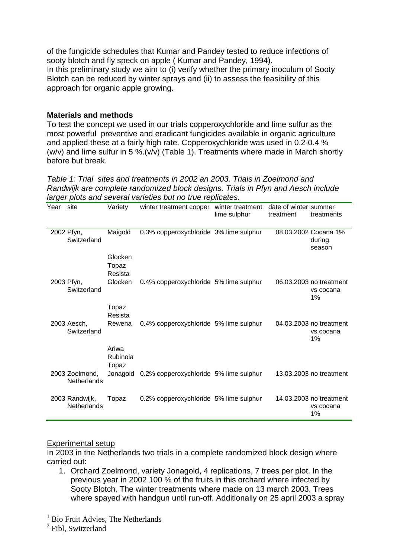of the fungicide schedules that Kumar and Pandey tested to reduce infections of sooty blotch and fly speck on apple ( Kumar and Pandey, 1994). In this preliminary study we aim to (i) verify whether the primary inoculum of Sooty Blotch can be reduced by winter sprays and (ii) to assess the feasibility of this approach for organic apple growing.

## **Materials and methods**

To test the concept we used in our trials copperoxychloride and lime sulfur as the most powerful preventive and eradicant fungicides available in organic agriculture and applied these at a fairly high rate. Copperoxychloride was used in 0.2-0.4 % (w/v) and lime sulfur in 5 %.(v/v) (Table 1). Treatments where made in March shortly before but break.

Table 1: Trial sites and treatments in 2002 an 2003. Trials in Zoelmond and Randwijk are complete randomized block designs. Trials in Pfyn and Aesch include larger plots and several varieties but no true replicates.

| Year | site                                 | Variety                     | winter treatment copper                | winter treatment<br>lime sulphur | date of winter summer<br>treatment | treatments                                 |
|------|--------------------------------------|-----------------------------|----------------------------------------|----------------------------------|------------------------------------|--------------------------------------------|
|      | 2002 Pfyn,<br>Switzerland            | Maigold                     | 0.3% copperoxychloride 3% lime sulphur |                                  |                                    | 08.03.2002 Cocana 1%<br>during<br>season   |
|      |                                      | Glocken<br>Topaz<br>Resista |                                        |                                  |                                    |                                            |
|      | 2003 Pfyn,<br>Switzerland            | Glocken                     | 0.4% copperoxychloride 5% lime sulphur |                                  |                                    | 06.03.2003 no treatment<br>vs cocana<br>1% |
|      |                                      | Topaz<br>Resista            |                                        |                                  |                                    |                                            |
|      | 2003 Aesch,<br>Switzerland           | Rewena                      | 0.4% copperoxychloride 5% lime sulphur |                                  |                                    | 04.03.2003 no treatment<br>vs cocana<br>1% |
|      |                                      | Ariwa<br>Rubinola<br>Topaz  |                                        |                                  |                                    |                                            |
|      | 2003 Zoelmond,<br><b>Netherlands</b> | Jonagold                    | 0.2% copperoxychloride 5% lime sulphur |                                  |                                    | 13.03.2003 no treatment                    |
|      | 2003 Randwijk,<br>Netherlands        | Topaz                       | 0.2% copperoxychloride 5% lime sulphur |                                  |                                    | 14.03.2003 no treatment<br>vs cocana<br>1% |

#### Experimental setup

In 2003 in the Netherlands two trials in a complete randomized block design where carried out:

1. Orchard Zoelmond, variety Jonagold, 4 replications, 7 trees per plot. In the previous year in 2002 100 % of the fruits in this orchard where infected by Sooty Blotch. The winter treatments where made on 13 march 2003. Trees where spayed with handgun until run-off. Additionally on 25 april 2003 a spray

<sup>&</sup>lt;sup>1</sup> Bio Fruit Advies, The Netherlands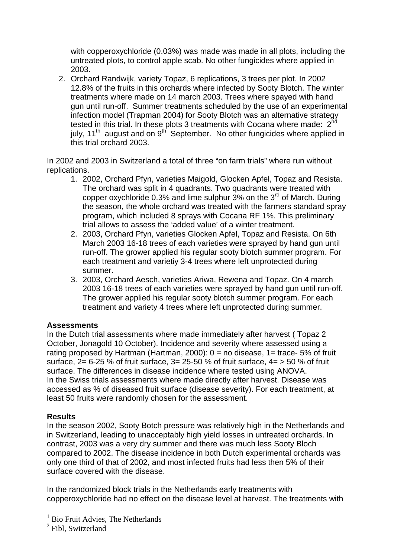with copperoxychloride (0.03%) was made was made in all plots, including the untreated plots, to control apple scab. No other fungicides where applied in 2003.

2. Orchard Randwijk, variety Topaz, 6 replications, 3 trees per plot. In 2002 12.8% of the fruits in this orchards where infected by Sooty Blotch. The winter treatments where made on 14 march 2003. Trees where spayed with hand gun until run-off. Summer treatments scheduled by the use of an experimental infection model (Trapman 2004) for Sooty Blotch was an alternative strategy tested in this trial. In these plots 3 treatments with Cocana where made:  $2^{\overline{nd}}$ july,  $11<sup>th</sup>$  august and on  $9<sup>th</sup>$  September. No other fungicides where applied in this trial orchard 2003.

In 2002 and 2003 in Switzerland a total of three "on farm trials" where run without replications.

- 1. 2002, Orchard Pfyn, varieties Maigold, Glocken Apfel, Topaz and Resista. The orchard was split in 4 quadrants. Two quadrants were treated with copper oxychloride  $0.3\%$  and lime sulphur  $3\%$  on the  $3<sup>rd</sup>$  of March. During the season, the whole orchard was treated with the farmers standard spray program, which included 8 sprays with Cocana RF 1%. This preliminary trial allows to assess the 'added value' of a winter treatment.
- 2. 2003, Orchard Pfyn, varieties Glocken Apfel, Topaz and Resista. On 6th March 2003 16-18 trees of each varieties were sprayed by hand gun until run-off. The grower applied his regular sooty blotch summer program. For each treatment and varietiy 3-4 trees where left unprotected during summer.
- 3. 2003, Orchard Aesch, varieties Ariwa, Rewena and Topaz. On 4 march 2003 16-18 trees of each varieties were sprayed by hand gun until run-off. The grower applied his regular sooty blotch summer program. For each treatment and variety 4 trees where left unprotected during summer.

#### **Assessments**

In the Dutch trial assessments where made immediately after harvest ( Topaz 2 October, Jonagold 10 October). Incidence and severity where assessed using a rating proposed by Hartman (Hartman, 2000):  $0 =$  no disease,  $1 =$  trace- 5% of fruit surface,  $2=6-25$  % of fruit surface,  $3=25-50$  % of fruit surface,  $4=50$  % of fruit surface. The differences in disease incidence where tested using ANOVA. In the Swiss trials assessments where made directly after harvest. Disease was accessed as % of diseased fruit surface (disease severity). For each treatment, at least 50 fruits were randomly chosen for the assessment.

#### **Results**

In the season 2002, Sooty Botch pressure was relatively high in the Netherlands and in Switzerland, leading to unacceptably high yield losses in untreated orchards. In contrast, 2003 was a very dry summer and there was much less Sooty Bloch compared to 2002. The disease incidence in both Dutch experimental orchards was only one third of that of 2002, and most infected fruits had less then 5% of their surface covered with the disease.

In the randomized block trials in the Netherlands early treatments with copperoxychloride had no effect on the disease level at harvest. The treatments with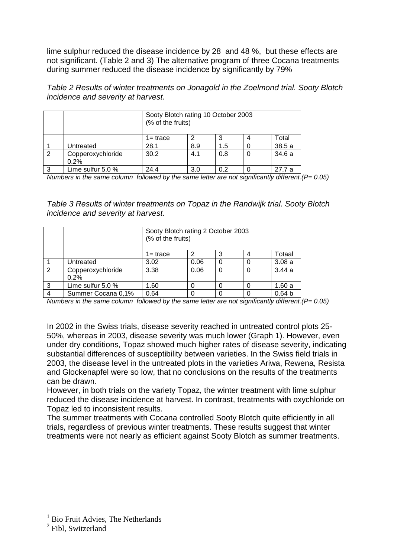lime sulphur reduced the disease incidence by 28 and 48 %, but these effects are not significant. (Table 2 and 3) The alternative program of three Cocana treatments during summer reduced the disease incidence by significantly by 79%

Table 2 Results of winter treatments on Jonagold in the Zoelmond trial. Sooty Blotch incidence and severity at harvest.

|               |                           | Sooty Blotch rating 10 October 2003<br>(% of the fruits) |     |     |   |        |  |
|---------------|---------------------------|----------------------------------------------------------|-----|-----|---|--------|--|
|               |                           | 1= trace                                                 |     |     |   | Total  |  |
|               | Untreated                 | 28.1                                                     | 8.9 | 1.5 |   | 38.5a  |  |
| $\mathcal{P}$ | Copperoxychloride<br>0.2% | 30.2                                                     | 4.1 | 0.8 | 0 | 34.6a  |  |
| 3             | Lime sulfur 5.0 %         | 24.4                                                     | 3.0 | 0.2 |   | 27.7 a |  |

Numbers in the same column followed by the same letter are not significantly different.  $(P= 0.05)$ 

Table 3 Results of winter treatments on Topaz in the Randwijk trial. Sooty Blotch incidence and severity at harvest.

|   |                           | Sooty Blotch rating 2 October 2003<br>(% of the fruits) |      |   |  |                   |  |
|---|---------------------------|---------------------------------------------------------|------|---|--|-------------------|--|
|   |                           | $1 = \text{trace}$                                      |      |   |  | Totaal            |  |
|   | Untreated                 | 3.02                                                    | 0.06 |   |  | 3.08a             |  |
| 2 | Copperoxychloride<br>0.2% | 3.38                                                    | 0.06 | 0 |  | 3.44a             |  |
| 3 | Lime sulfur 5.0 %         | 1.60                                                    |      |   |  | 1.60a             |  |
|   | Summer Cocana 0,1%        | 0.64                                                    |      |   |  | 0.64 <sub>b</sub> |  |

Numbers in the same column followed by the same letter are not significantly different.  $(P= 0.05)$ 

In 2002 in the Swiss trials, disease severity reached in untreated control plots 25- 50%, whereas in 2003, disease severity was much lower (Graph 1). However, even under dry conditions, Topaz showed much higher rates of disease severity, indicating substantial differences of susceptibility between varieties. In the Swiss field trials in 2003, the disease level in the untreated plots in the varieties Ariwa, Rewena, Resista and Glockenapfel were so low, that no conclusions on the results of the treatments can be drawn.

However, in both trials on the variety Topaz, the winter treatment with lime sulphur reduced the disease incidence at harvest. In contrast, treatments with oxychloride on Topaz led to inconsistent results.

The summer treatments with Cocana controlled Sooty Blotch quite efficiently in all trials, regardless of previous winter treatments. These results suggest that winter treatments were not nearly as efficient against Sooty Blotch as summer treatments.

<sup>2</sup> Fibl, Switzerland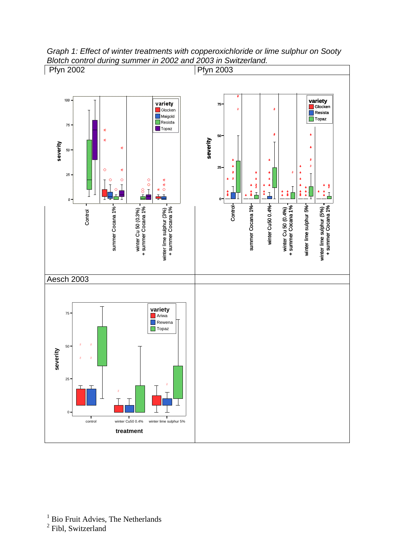

Graph 1: Effect of winter treatments with copperoxichloride or lime sulphur on Sooty Blotch control during summer in 2002 and 2003 in Switzerland.

<sup>2</sup> Fibl, Switzerland